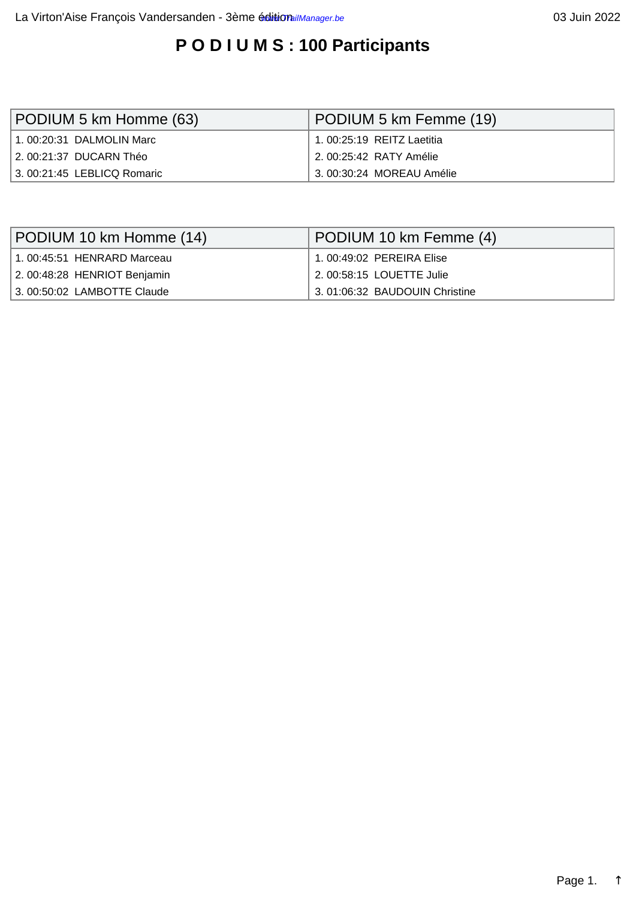# **P O D I U M S : 100 Participants**

<span id="page-0-0"></span>

| PODIUM 5 km Homme (63)      | PODIUM 5 km Femme (19)    |  |  |
|-----------------------------|---------------------------|--|--|
| 1.00:20:31 DALMOLIN Marc    | 1.00:25:19 REITZ Laetitia |  |  |
| 2. 00:21:37  DUCARN Théo    | 2.00:25:42 RATY Amélie    |  |  |
| 3. 00:21:45 LEBLICQ Romaric | 3.00:30:24 MOREAU Amélie  |  |  |

| PODIUM 10 km Homme (14)     | PODIUM 10 km Femme (4)        |  |  |
|-----------------------------|-------------------------------|--|--|
| 1. 00:45:51 HENRARD Marceau | 1.00:49:02 PEREIRA Elise      |  |  |
| 2.00:48:28 HENRIOT Benjamin | 2. 00:58:15 LOUETTE Julie     |  |  |
| 3.00:50:02 LAMBOTTE Claude  | 3.01:06:32 BAUDOUIN Christine |  |  |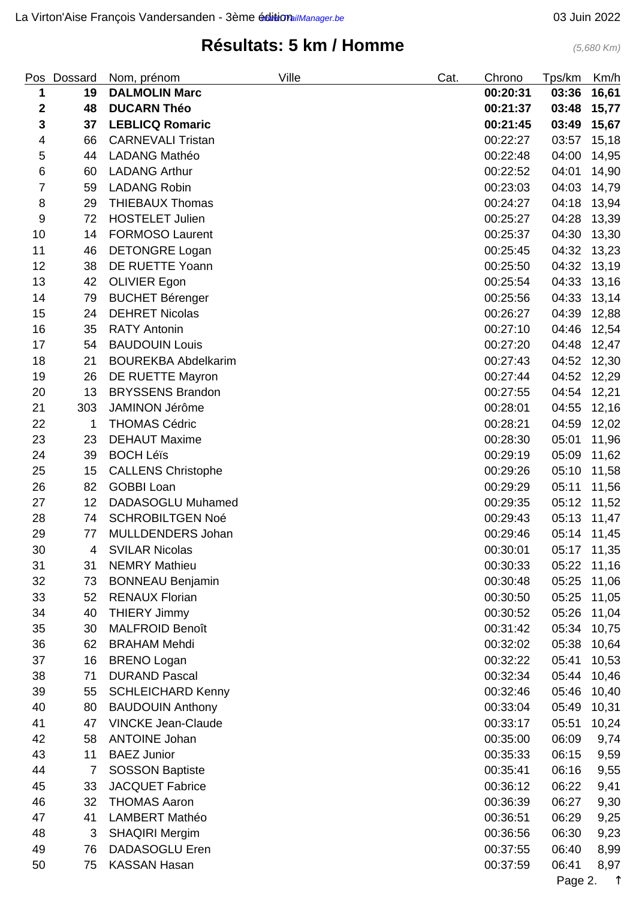## **Résultats: 5 km / Homme** (5,680 Km)

<span id="page-1-0"></span>

| <b>Pos</b>  | Dossard        | Nom, prénom                | Ville | Cat. | Chrono   | Tps/km      | Km/h       |
|-------------|----------------|----------------------------|-------|------|----------|-------------|------------|
| 1           | 19             | <b>DALMOLIN Marc</b>       |       |      | 00:20:31 | 03:36       | 16,61      |
| $\mathbf 2$ | 48             | <b>DUCARN Théo</b>         |       |      | 00:21:37 | 03:48       | 15,77      |
| $\mathbf 3$ | 37             | <b>LEBLICQ Romaric</b>     |       |      | 00:21:45 | 03:49       | 15,67      |
| 4           | 66             | <b>CARNEVALI Tristan</b>   |       |      | 00:22:27 | 03:57       | 15,18      |
| 5           | 44             | LADANG Mathéo              |       |      | 00:22:48 | 04:00       | 14,95      |
| 6           | 60             | <b>LADANG Arthur</b>       |       |      | 00:22:52 | 04:01       | 14,90      |
| 7           | 59             | <b>LADANG Robin</b>        |       |      | 00:23:03 | 04:03       | 14,79      |
| 8           | 29             | <b>THIEBAUX Thomas</b>     |       |      | 00:24:27 | 04:18       | 13,94      |
| 9           | 72             | <b>HOSTELET Julien</b>     |       |      | 00:25:27 | 04:28       | 13,39      |
| 10          | 14             | <b>FORMOSO Laurent</b>     |       |      | 00:25:37 | 04:30       | 13,30      |
| 11          | 46             | <b>DETONGRE Logan</b>      |       |      | 00:25:45 | 04:32       | 13,23      |
| 12          | 38             | DE RUETTE Yoann            |       |      | 00:25:50 | 04:32       | 13,19      |
| 13          | 42             | <b>OLIVIER Egon</b>        |       |      | 00:25:54 | 04:33       | 13,16      |
| 14          | 79             | <b>BUCHET Bérenger</b>     |       |      | 00:25:56 | 04:33       | 13,14      |
| 15          | 24             | <b>DEHRET Nicolas</b>      |       |      | 00:26:27 | 04:39       | 12,88      |
| 16          | 35             | <b>RATY Antonin</b>        |       |      | 00:27:10 | 04:46       | 12,54      |
| 17          | 54             | <b>BAUDOUIN Louis</b>      |       |      | 00:27:20 | 04:48       | 12,47      |
| 18          | 21             | <b>BOUREKBA Abdelkarim</b> |       |      | 00:27:43 | 04:52       | 12,30      |
| 19          | 26             | DE RUETTE Mayron           |       |      | 00:27:44 | 04:52       | 12,29      |
| 20          | 13             | <b>BRYSSENS Brandon</b>    |       |      | 00:27:55 | 04:54       | 12,21      |
| 21          | 303            | JAMINON Jérôme             |       |      | 00:28:01 | 04:55       | 12,16      |
| 22          | 1              | <b>THOMAS Cédric</b>       |       |      | 00:28:21 | 04:59       | 12,02      |
| 23          | 23             | <b>DEHAUT Maxime</b>       |       |      | 00:28:30 | 05:01       | 11,96      |
| 24          | 39             | <b>BOCH Léïs</b>           |       |      | 00:29:19 | 05:09       | 11,62      |
| 25          | 15             | <b>CALLENS Christophe</b>  |       |      | 00:29:26 | 05:10       | 11,58      |
| 26          | 82             | <b>GOBBI Loan</b>          |       |      | 00:29:29 | 05:11       | 11,56      |
| 27          | 12             | DADASOGLU Muhamed          |       |      | 00:29:35 | 05:12       | 11,52      |
| 28          | 74             | <b>SCHROBILTGEN Noé</b>    |       |      | 00:29:43 | 05:13       | 11,47      |
| 29          | 77             | MULLDENDERS Johan          |       |      | 00:29:46 | 05:14 11,45 |            |
| 30          | 4              | <b>SVILAR Nicolas</b>      |       |      | 00:30:01 | 05:17 11,35 |            |
| 31          | 31             | <b>NEMRY Mathieu</b>       |       |      | 00:30:33 | 05:22       | 11,16      |
| 32          | 73             | <b>BONNEAU Benjamin</b>    |       |      | 00:30:48 | 05:25       | 11,06      |
| 33          | 52             | <b>RENAUX Florian</b>      |       |      | 00:30:50 | 05:25       | 11,05      |
| 34          | 40             | <b>THIERY Jimmy</b>        |       |      | 00:30:52 | 05:26       | 11,04      |
| 35          | 30             | <b>MALFROID Benoît</b>     |       |      | 00:31:42 | 05:34       | 10,75      |
| 36          | 62             | <b>BRAHAM Mehdi</b>        |       |      | 00:32:02 | 05:38       | 10,64      |
| 37          | 16             | <b>BRENO Logan</b>         |       |      | 00:32:22 | 05:41       | 10,53      |
| 38          | 71             | <b>DURAND Pascal</b>       |       |      | 00:32:34 | 05:44       | 10,46      |
| 39          | 55             | <b>SCHLEICHARD Kenny</b>   |       |      | 00:32:46 | 05:46       | 10,40      |
| 40          | 80             | <b>BAUDOUIN Anthony</b>    |       |      | 00:33:04 | 05:49       | 10,31      |
| 41          | 47             | <b>VINCKE Jean-Claude</b>  |       |      | 00:33:17 | 05:51       | 10,24      |
| 42          | 58             | <b>ANTOINE Johan</b>       |       |      | 00:35:00 | 06:09       | 9,74       |
| 43          | 11             | <b>BAEZ Junior</b>         |       |      | 00:35:33 | 06:15       | 9,59       |
| 44          | $\overline{7}$ | <b>SOSSON Baptiste</b>     |       |      | 00:35:41 | 06:16       | 9,55       |
| 45          | 33             | <b>JACQUET Fabrice</b>     |       |      | 00:36:12 | 06:22       | 9,41       |
| 46          | 32             | <b>THOMAS Aaron</b>        |       |      | 00:36:39 | 06:27       | 9,30       |
| 47          | 41             | <b>LAMBERT Mathéo</b>      |       |      | 00:36:51 | 06:29       | 9,25       |
| 48          | 3              | <b>SHAQIRI Mergim</b>      |       |      | 00:36:56 | 06:30       | 9,23       |
| 49          | 76             | DADASOGLU Eren             |       |      | 00:37:55 | 06:40       | 8,99       |
| 50          | 75             | <b>KASSAN Hasan</b>        |       |      | 00:37:59 | 06:41       | 8,97       |
|             |                |                            |       |      |          | Page 2.     | $\uparrow$ |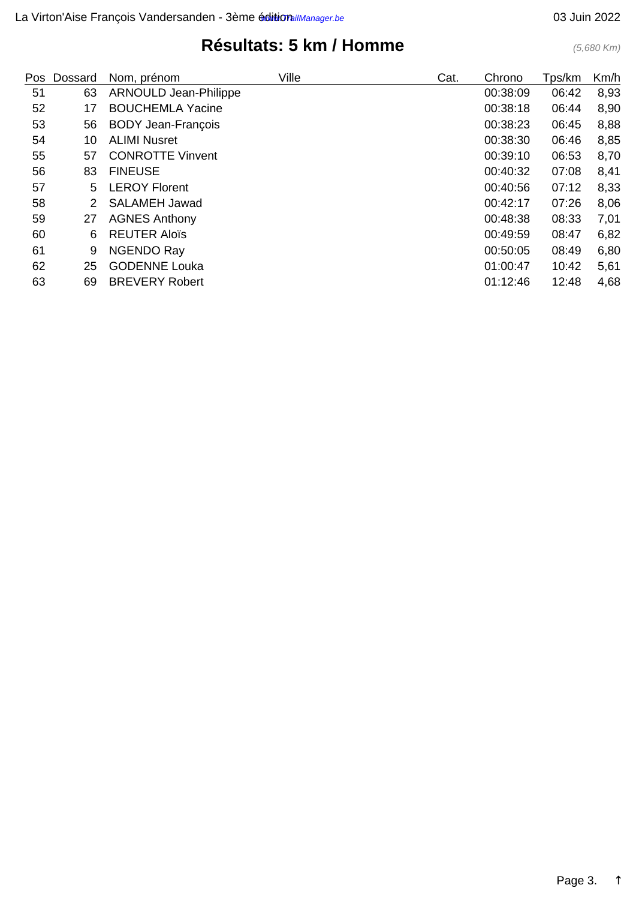Pos Dossard Nom, prénom Ville Ville Cat. Chrono Tps/km Km/h 63 ARNOULD Jean-Philippe 00:38:09 06:42 8,93 17 BOUCHEMLA Yacine 00:38:18 06:44 8,90 56 BODY Jean-François 00:38:23 06:45 8,88 10 ALIMI Nusret 00:38:30 06:46 8,85 55 57 CONROTTE Vinvent 100:39:10 66:53 8,70 83 FINEUSE 00:40:32 07:08 8,41 5 LEROY Florent 00:40:56 07:12 8,33 2 SALAMEH Jawad 00:42:17 07:26 8,06 27 AGNES Anthony 00:48:38 08:33 7,01 6 REUTER Aloïs 00:49:59 08:47 6,82 61 9 NGENDO Ray 200:50:05 08:49 6,80 25 GODENNE Louka 01:00:47 10:42 5,61 69 BREVERY Robert 01:12:46 12:48 4,68

## **Résultats: 5 km / Homme** (5,680 Km)

Page 3.  $\uparrow$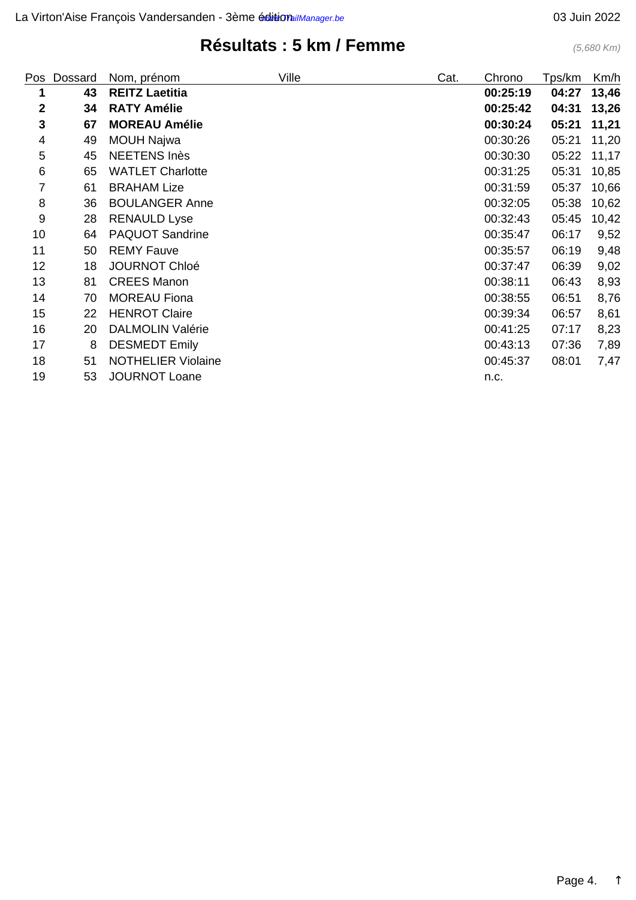## **Résultats : 5 km / Femme** (5,680 Km)

<span id="page-3-0"></span>

| Pos         | Dossard | Nom, prénom               | Ville | Cat. | Chrono   | Tps/km | Km/h  |
|-------------|---------|---------------------------|-------|------|----------|--------|-------|
| 1           | 43      | <b>REITZ Laetitia</b>     |       |      | 00:25:19 | 04:27  | 13,46 |
| $\mathbf 2$ | 34      | <b>RATY Amélie</b>        |       |      | 00:25:42 | 04:31  | 13,26 |
| 3           | 67      | <b>MOREAU Amélie</b>      |       |      | 00:30:24 | 05:21  | 11,21 |
| 4           | 49      | <b>MOUH Najwa</b>         |       |      | 00:30:26 | 05:21  | 11,20 |
| 5           | 45      | <b>NEETENS Inès</b>       |       |      | 00:30:30 | 05:22  | 11,17 |
| 6           | 65      | <b>WATLET Charlotte</b>   |       |      | 00:31:25 | 05:31  | 10,85 |
| 7           | 61      | <b>BRAHAM Lize</b>        |       |      | 00:31:59 | 05:37  | 10,66 |
| 8           | 36      | <b>BOULANGER Anne</b>     |       |      | 00:32:05 | 05:38  | 10,62 |
| 9           | 28      | <b>RENAULD Lyse</b>       |       |      | 00:32:43 | 05:45  | 10,42 |
| 10          | 64      | <b>PAQUOT Sandrine</b>    |       |      | 00:35:47 | 06:17  | 9,52  |
| 11          | 50      | <b>REMY Fauve</b>         |       |      | 00:35:57 | 06:19  | 9,48  |
| 12          | 18      | <b>JOURNOT Chloé</b>      |       |      | 00:37:47 | 06:39  | 9,02  |
| 13          | 81      | <b>CREES Manon</b>        |       |      | 00:38:11 | 06:43  | 8,93  |
| 14          | 70      | <b>MOREAU Fiona</b>       |       |      | 00:38:55 | 06:51  | 8,76  |
| 15          | 22      | <b>HENROT Claire</b>      |       |      | 00:39:34 | 06:57  | 8,61  |
| 16          | 20      | <b>DALMOLIN Valérie</b>   |       |      | 00:41:25 | 07:17  | 8,23  |
| 17          | 8       | <b>DESMEDT Emily</b>      |       |      | 00:43:13 | 07:36  | 7,89  |
| 18          | 51      | <b>NOTHELIER Violaine</b> |       |      | 00:45:37 | 08:01  | 7,47  |
| 19          | 53      | <b>JOURNOT Loane</b>      |       |      | n.c.     |        |       |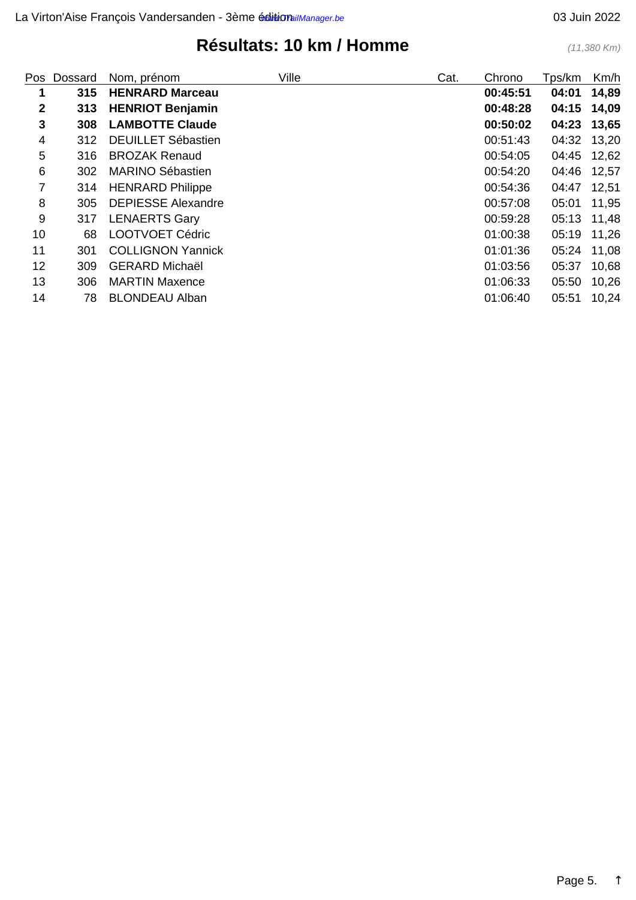# **Résultats: 10 km / Homme** (11,380 Km)

<span id="page-4-0"></span>

| Pos | Dossard | Nom, prénom               | Ville | Cat. | Chrono   | Tps/km      | Km/h  |
|-----|---------|---------------------------|-------|------|----------|-------------|-------|
|     | 315     | <b>HENRARD Marceau</b>    |       |      | 00:45:51 | 04:01       | 14,89 |
| 2   | 313     | <b>HENRIOT Benjamin</b>   |       |      | 00:48:28 | 04:15       | 14,09 |
| 3   | 308     | <b>LAMBOTTE Claude</b>    |       |      | 00:50:02 | 04:23 13,65 |       |
| 4   | 312     | <b>DEUILLET Sébastien</b> |       |      | 00:51:43 | 04:32       | 13,20 |
| 5   | 316     | <b>BROZAK Renaud</b>      |       |      | 00:54:05 | 04:45       | 12,62 |
| 6   | 302     | <b>MARINO Sébastien</b>   |       |      | 00:54:20 | 04:46       | 12,57 |
| 7   | 314     | <b>HENRARD Philippe</b>   |       |      | 00:54:36 | 04:47       | 12,51 |
| 8   | 305     | <b>DEPIESSE Alexandre</b> |       |      | 00:57:08 | 05:01       | 11,95 |
| 9   | 317     | <b>LENAERTS Gary</b>      |       |      | 00:59:28 | 05:13 11,48 |       |
| 10  | 68      | <b>LOOTVOET Cédric</b>    |       |      | 01:00:38 | 05:19       | 11,26 |
| 11  | 301     | <b>COLLIGNON Yannick</b>  |       |      | 01:01:36 | 05:24       | 11,08 |
| 12  | 309     | <b>GERARD Michaël</b>     |       |      | 01:03:56 | 05:37       | 10,68 |
| 13  | 306     | <b>MARTIN Maxence</b>     |       |      | 01:06:33 | 05:50       | 10,26 |
| 14  | 78      | <b>BLONDEAU Alban</b>     |       |      | 01:06:40 | 05:51       | 10,24 |